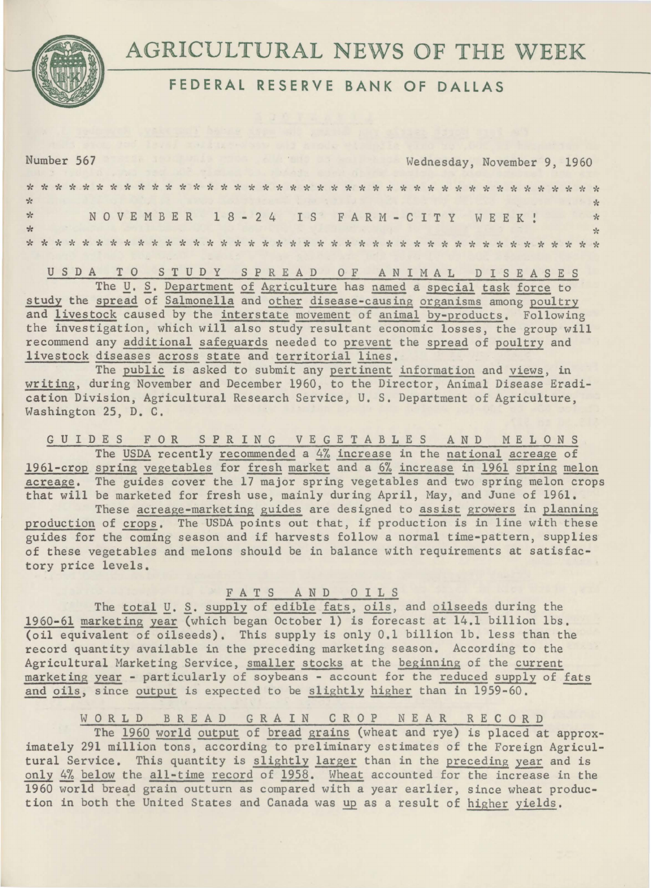

## **FEDERAL RESERVE BANK OF DALLAS**

Number 567 Wednesday, November 9, 1960

|               |  |  |  |  |  |                                   |  |  |  |  |  |  | and the same of the first service in the control of the same of the same of the same of the same of the same of the same of the same of the same of the same of the same of the same of the same of the same of the same of th |  |  |  |  |  |  |  |               |
|---------------|--|--|--|--|--|-----------------------------------|--|--|--|--|--|--|--------------------------------------------------------------------------------------------------------------------------------------------------------------------------------------------------------------------------------|--|--|--|--|--|--|--|---------------|
| $\mathcal{R}$ |  |  |  |  |  | NOVEMBER 18-24 IS FARM-CITY WEEK! |  |  |  |  |  |  |                                                                                                                                                                                                                                |  |  |  |  |  |  |  | $\star$       |
|               |  |  |  |  |  |                                   |  |  |  |  |  |  |                                                                                                                                                                                                                                |  |  |  |  |  |  |  | $\frac{1}{2}$ |
|               |  |  |  |  |  |                                   |  |  |  |  |  |  |                                                                                                                                                                                                                                |  |  |  |  |  |  |  |               |
|               |  |  |  |  |  |                                   |  |  |  |  |  |  |                                                                                                                                                                                                                                |  |  |  |  |  |  |  |               |

U S D A T 0 ST U D Y S P R E A D 0 F ANIMAL D I S E A S E S

The *U. S. Department of Agriculture has named a special task force to* study the spread of Salmonella and other disease-causing organisms among poultry and livestock caused by the interstate movement of animal by-products. Following the investigation, which will also study resultant economic losses, the group will recommend any additional safeguards needed to prevent the spread of poultry and livestock diseases across state and territorial lines.

The public is asked to submit any pertinent information and views, in writing, during November and December 1960, to the Director, Animal Disease Eradication Division, Agricultural Research Service, U. S. Department of Agriculture, Washington 25, D. C.

G U I D E S F 0 R SPRING V E G E T A B L E S AND MELONS The USDA recently recommended a 4% increase in the national acreage of 1961-crop spring vegetables for fresh market and a 6% increase in 1961 spring melon acreage. The guides cover the 17 major spring vegetables and two spring melon crops that will be marketed for fresh use, mainly during April, May, and June of 1961.

These acreage-marketing guides are designed to assist growers in planning production of crops. The USDA points out that, if production is in line with these guides for the coming season and if harvests follow a normal time-pattern, supplies of these vegetables and melons should be in balance with requirements at satisfactory price levels.

F A T S A N D 0 I L S

The total *U*. S. supply of edible fats, oils, and oilseeds during the 1960-61 marketing year (which began October 1) is forecast at 14.1 billion lbs. (oil equivalent of oilseeds). This supply is only 0.1 billion lb. less than the record quantity available in the preceding marketing season. According to the Agricultural Marketing Service, smaller stocks at the beginning of the current marketing year - particularly of soybeans - account for the reduced supply of fats and oils, since output is expected to be slightly higher than in 1959-60.

W OR L D B R E A D G R A I N C R O P N E A R R E C O R D

The 1960 world output of bread grains (wheat and rye) is placed at approximately 291 million tons, according to preliminary estimates of the Foreign Agricultural Service. This quantity is slightly larger than in the preceding year and is only 4% below the all-time record of 1958. Wheat accounted for the increase in the 1960 world bread grain outturn as compared with a year earlier, since wheat production in both the United States and Canada was up as a result of higher yields.